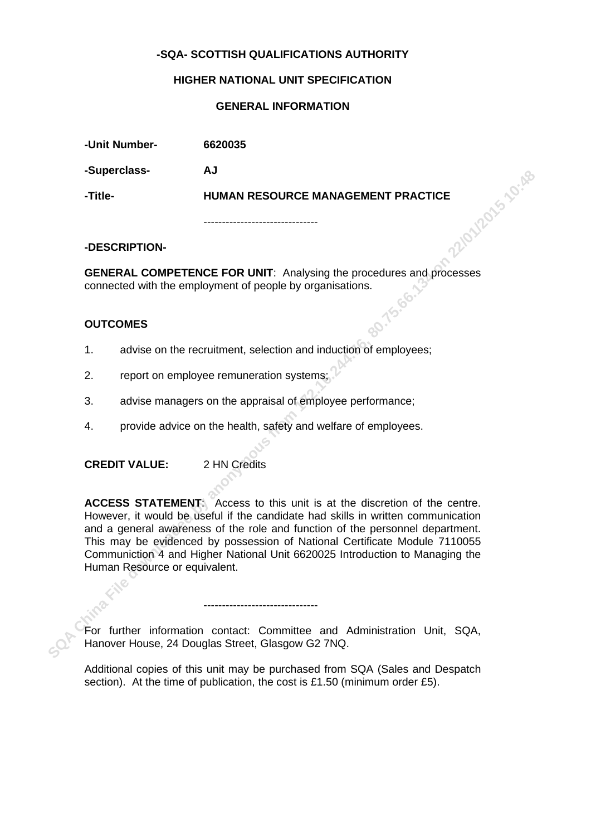## **-SQA- SCOTTISH QUALIFICATIONS AUTHORITY**

#### **HIGHER NATIONAL UNIT SPECIFICATION**

#### **GENERAL INFORMATION**

| -Unit Number- | 6620035                            |  |
|---------------|------------------------------------|--|
| -Superclass-  | AJ                                 |  |
| -Title-       | HUMAN RESOURCE MANAGEMENT PRACTICE |  |
|               |                                    |  |

**-DESCRIPTION-**

**GENERAL COMPETENCE FOR UNIT**: Analysing the procedures and processes connected with the employment of people by organisations.

### **OUTCOMES**

- 1. advise on the recruitment, selection and induction of employees;
- 2. report on employee remuneration systems;
- 3. advise managers on the appraisal of employee performance;
- 4. provide advice on the health, safety and welfare of employees.

**CREDIT VALUE:** 2 HN Credits

**Supercuss-**<br> **STREM CHINA FILENCE FOR UNIT:** Analysing the procedures and processes<br>
connected with the employment of people by organisations.<br> **SAM CHINA FILENCE FOR UNIT:** Analysing the procedures and processes<br>
connect **ACCESS STATEMENT**: Access to this unit is at the discretion of the centre. However, it would be useful if the candidate had skills in written communication and a general awareness of the role and function of the personnel department. This may be evidenced by possession of National Certificate Module 7110055 Communiction 4 and Higher National Unit 6620025 Introduction to Managing the Human Resource or equivalent.

For further information contact: Committee and Administration Unit, SQA, Hanover House, 24 Douglas Street, Glasgow G2 7NQ.

-------------------------------

Additional copies of this unit may be purchased from SQA (Sales and Despatch section). At the time of publication, the cost is £1.50 (minimum order £5).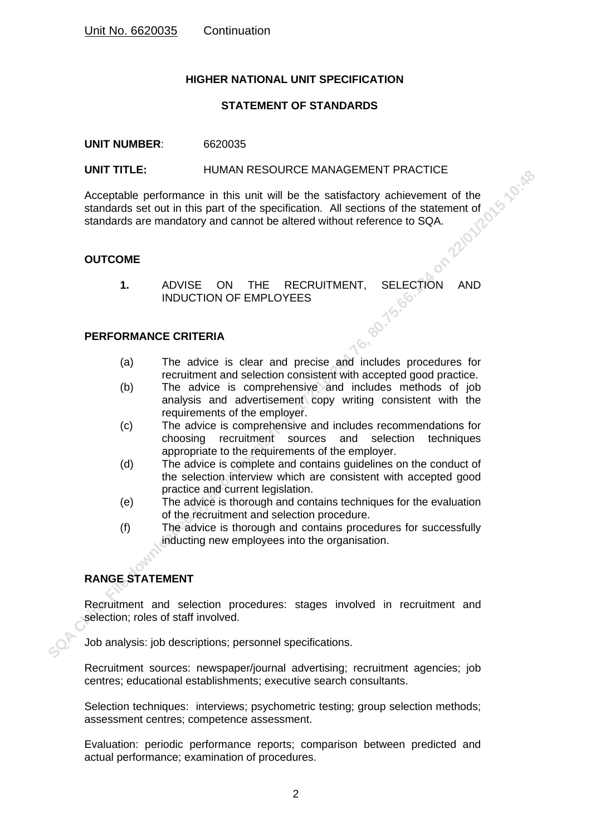## **HIGHER NATIONAL UNIT SPECIFICATION**

## **STATEMENT OF STANDARDS**

#### **UNIT NUMBER**: 6620035

**SCALIGATION CONTROLL CONTROLL CONTROLL CONTROLL CONTROLL CONTROLL CONTROLL CONTROLL CONTROLL CONTROLL CONTROLL CONTROLL CONTROLL CONTROLL CONTROLL CONTROLL CONTROLL CONTROLL CONTROLL CONTROLL CONTROLL CONTROLL CONTROLL CO** UNIT TITLE: HUMAN RESOURCE MANAGEMENT PRACTICE<br>Acceptable performance in this unit will be the satisfactory achievement of the<br>standards set out in this part of the specification. All sections of the<br>standards are mandator Acceptable performance in this unit will be the satisfactory achievement of the standards set out in this part of the specification. All sections of the statement of standards are mandatory and cannot be altered without reference to SQA.

## **OUTCOME**

**1.** ADVISE ON THE RECRUITMENT, SELECTION AND INDUCTION OF EMPLOYEES

## **PERFORMANCE CRITERIA**

- (a) The advice is clear and precise and includes procedures for recruitment and selection consistent with accepted good practice.
- (b) The advice is comprehensive and includes methods of job analysis and advertisement copy writing consistent with the requirements of the employer.
- (c) The advice is comprehensive and includes recommendations for choosing recruitment sources and selection techniques appropriate to the requirements of the employer.
- (d) The advice is complete and contains guidelines on the conduct of the selection interview which are consistent with accepted good practice and current legislation.
- (e) The advice is thorough and contains techniques for the evaluation of the recruitment and selection procedure.
- (f) The advice is thorough and contains procedures for successfully inducting new employees into the organisation.

# **RANGE STATEMENT**

Recruitment and selection procedures: stages involved in recruitment and selection; roles of staff involved.

Job analysis: job descriptions; personnel specifications.

Recruitment sources: newspaper/journal advertising; recruitment agencies; job centres; educational establishments; executive search consultants.

Selection techniques: interviews; psychometric testing; group selection methods; assessment centres; competence assessment.

Evaluation: periodic performance reports; comparison between predicted and actual performance; examination of procedures.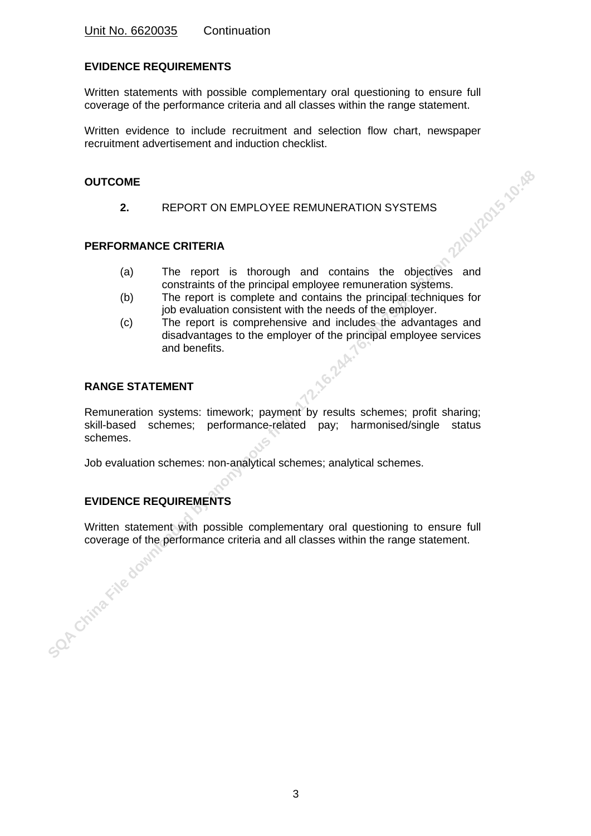## **EVIDENCE REQUIREMENTS**

Written statements with possible complementary oral questioning to ensure full coverage of the performance criteria and all classes within the range statement.

Written evidence to include recruitment and selection flow chart, newspaper recruitment advertisement and induction checklist.

## **OUTCOME**

**2.** REPORT ON EMPLOYEE REMUNERATION SYSTEMS

## **PERFORMANCE CRITERIA**

- THE REMUNERATION SYSTEMS<br>
The report is thorough and contains the objectives and<br>
The report is thorough and contains the objectives and constraints of the principal employee remuneration systems.
- (b) The report is complete and contains the principal techniques for job evaluation consistent with the needs of the employer.
- (c) The report is comprehensive and includes the advantages and disadvantages to the employer of the principal employee services and benefits.

## **RANGE STATEMENT**

**SUPERFORMANCE CRITERIA**<br> **SPACE CRITERIA**<br> **SPACE CRITERIA**<br> **SPACE CRITERIA**<br> **SPACE CRITERIA**<br> **SPACE CRITERIA**<br> **SPACE CRITERIAL**<br> **SPACE CRITERIAL**<br> **SPACE CRITERIAL**<br> **SPACE CRITERIAL**<br> **SPACE CRITERIAL**<br> **SPACE CRIT** Remuneration systems: timework; payment by results schemes; profit sharing; skill-based schemes; performance-related pay; harmonised/single status schemes.

Job evaluation schemes: non-analytical schemes; analytical schemes.

# **EVIDENCE REQUIREMENTS**

Written statement with possible complementary oral questioning to ensure full coverage of the performance criteria and all classes within the range statement.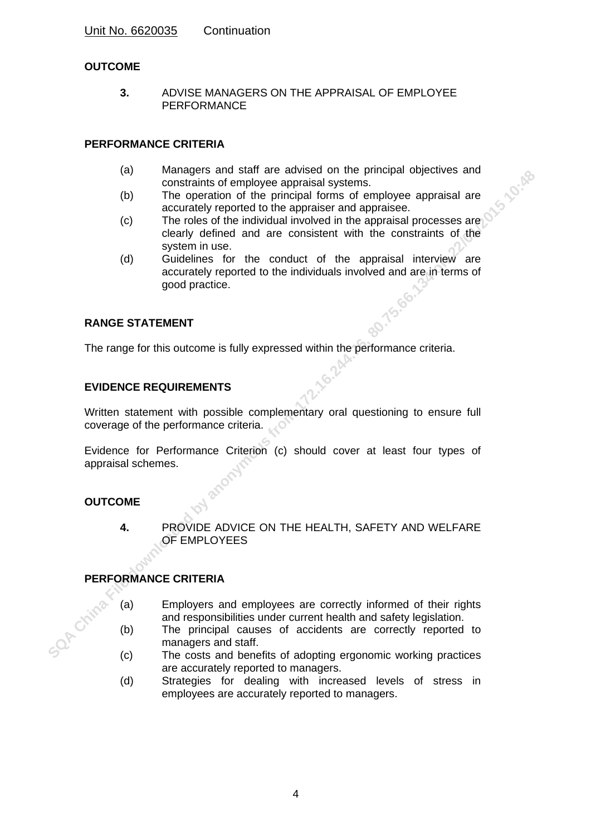# **OUTCOME**

**3.** ADVISE MANAGERS ON THE APPRAISAL OF EMPLOYEE PERFORMANCE

## **PERFORMANCE CRITERIA**

- (a) Managers and staff are advised on the principal objectives and constraints of employee appraisal systems.
- (b) The operation of the principal forms of employee appraisal are accurately reported to the appraiser and appraisee.
- (c) The roles of the individual involved in the appraisal processes are clearly defined and are consistent with the constraints of the system in use.
- **ISON CHINA FILE OF EXECT CHINA FILE DOWNLOAD CONTRACTS CRITERIA**<br>
(c) The operation of the pincipal forms of employes appraisal and a model of the employes and a model in the consistent with the consistents of the conduct (d) Guidelines for the conduct of the appraisal interview are accurately reported to the individuals involved and are in terms of good practice.

## **RANGE STATEMENT**

The range for this outcome is fully expressed within the performance criteria.

## **EVIDENCE REQUIREMENTS**

Written statement with possible complementary oral questioning to ensure full coverage of the performance criteria.

Evidence for Performance Criterion (c) should cover at least four types of appraisal schemes.

## **OUTCOME**

**4.** PROVIDE ADVICE ON THE HEALTH, SAFETY AND WELFARE OF EMPLOYEES

## **PERFORMANCE CRITERIA**

- (a) Employers and employees are correctly informed of their rights and responsibilities under current health and safety legislation.
- (b) The principal causes of accidents are correctly reported to managers and staff.
- (c) The costs and benefits of adopting ergonomic working practices are accurately reported to managers.
- (d) Strategies for dealing with increased levels of stress in employees are accurately reported to managers.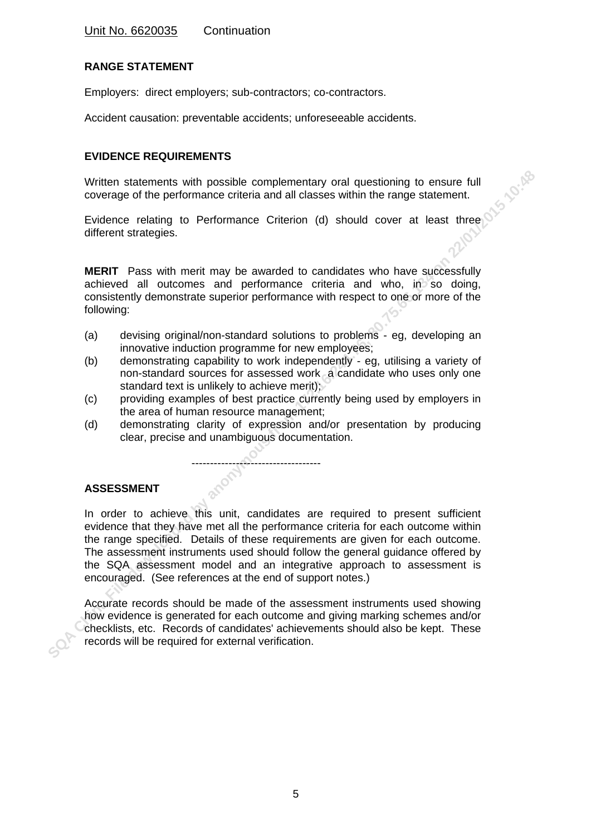## **RANGE STATEMENT**

Employers: direct employers; sub-contractors; co-contractors.

Accident causation: preventable accidents; unforeseeable accidents.

## **EVIDENCE REQUIREMENTS**

Written statements with possible complementary oral questioning to ensure full coverage of the performance criteria and all classes within the range statement.

Evidence relating to Performance Criterion (d) should cover at least three different strategies.

**MERIT** Pass with merit may be awarded to candidates who have successfully achieved all outcomes and performance criteria and who, in so doing, consistently demonstrate superior performance with respect to one or more of the following:

- (a) devising original/non-standard solutions to problems eg, developing an innovative induction programme for new employees;
- (b) demonstrating capability to work independently eg, utilising a variety of non-standard sources for assessed work a candidate who uses only one standard text is unlikely to achieve merit);
- (c) providing examples of best practice currently being used by employers in the area of human resource management;
- (d) demonstrating clarity of expression and/or presentation by producing clear, precise and unambiguous documentation.

-----------------------------------

## **ASSESSMENT**

Written statements with possible complementary oral questioning to ensure full<br>coverage of the performance criteria and all casses within the range statement.<br>Evidence relating to Performance Criterion (d) should cover at In order to achieve this unit, candidates are required to present sufficient evidence that they have met all the performance criteria for each outcome within the range specified. Details of these requirements are given for each outcome. The assessment instruments used should follow the general guidance offered by the SQA assessment model and an integrative approach to assessment is encouraged. (See references at the end of support notes.)

Accurate records should be made of the assessment instruments used showing how evidence is generated for each outcome and giving marking schemes and/or checklists, etc. Records of candidates' achievements should also be kept. These records will be required for external verification.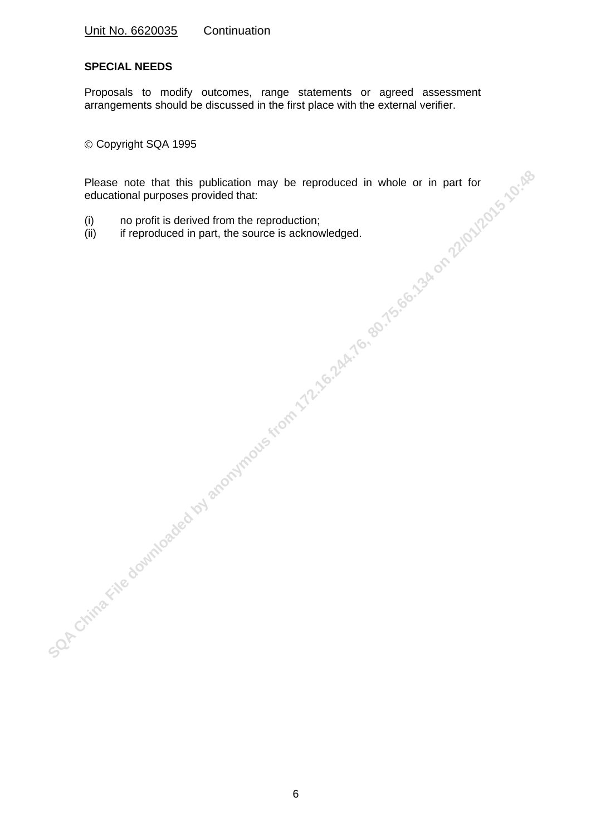### **SPECIAL NEEDS**

Proposals to modify outcomes, range statements or agreed assessment arrangements should be discussed in the first place with the external verifier.

Copyright SQA 1995

Please note that this publication may be reproduced in whole or in part for<br>educational purposes provided that:<br>(i) in profit is derived from the sepreduction;<br>(iii) if reproduced in part, the source is acknowledged.<br>(iii) Please note that this publication may be reproduced in whole or in part for educational purposes provided that:

- (i) no profit is derived from the reproduction;
- (ii) if reproduced in part, the source is acknowledged.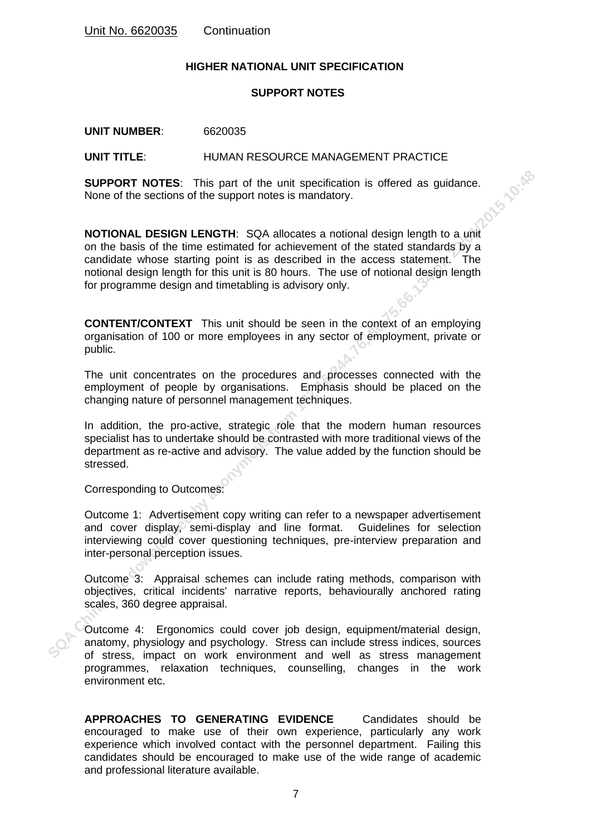#### **HIGHER NATIONAL UNIT SPECIFICATION**

## **SUPPORT NOTES**

**UNIT NUMBER**: 6620035

#### **UNIT TITLE**: HUMAN RESOURCE MANAGEMENT PRACTICE

**SUPPORT NOTES:** This part of the unit specification is offered as guidance.<br>None of the sections of the support notes is mandatory. None of the sections of the support notes is mandatory.

**SUPPORT NOTES:** This part of the unit specification is offered as guidance.<br>
NOTIONAL DESIGN LENGTH: SQA allocates a notional design length to a unit<br>
on the basis of the time estimated for achievement of the stated stand **NOTIONAL DESIGN LENGTH**: SQA allocates a notional design length to a unit on the basis of the time estimated for achievement of the stated standards by a candidate whose starting point is as described in the access statement. The notional design length for this unit is 80 hours. The use of notional design length for programme design and timetabling is advisory only.

**CONTENT/CONTEXT** This unit should be seen in the context of an employing organisation of 100 or more employees in any sector of employment, private or public.

The unit concentrates on the procedures and processes connected with the employment of people by organisations. Emphasis should be placed on the changing nature of personnel management techniques.

In addition, the pro-active, strategic role that the modern human resources specialist has to undertake should be contrasted with more traditional views of the department as re-active and advisory. The value added by the function should be stressed.

Corresponding to Outcomes:

Outcome 1: Advertisement copy writing can refer to a newspaper advertisement and cover display, semi-display and line format. Guidelines for selection interviewing could cover questioning techniques, pre-interview preparation and inter-personal perception issues.

Outcome 3: Appraisal schemes can include rating methods, comparison with objectives, critical incidents' narrative reports, behaviourally anchored rating scales, 360 degree appraisal.

Outcome 4: Ergonomics could cover job design, equipment/material design, anatomy, physiology and psychology. Stress can include stress indices, sources of stress, impact on work environment and well as stress management programmes, relaxation techniques, counselling, changes in the work environment etc.

**APPROACHES TO GENERATING EVIDENCE** Candidates should be encouraged to make use of their own experience, particularly any work experience which involved contact with the personnel department. Failing this candidates should be encouraged to make use of the wide range of academic and professional literature available.